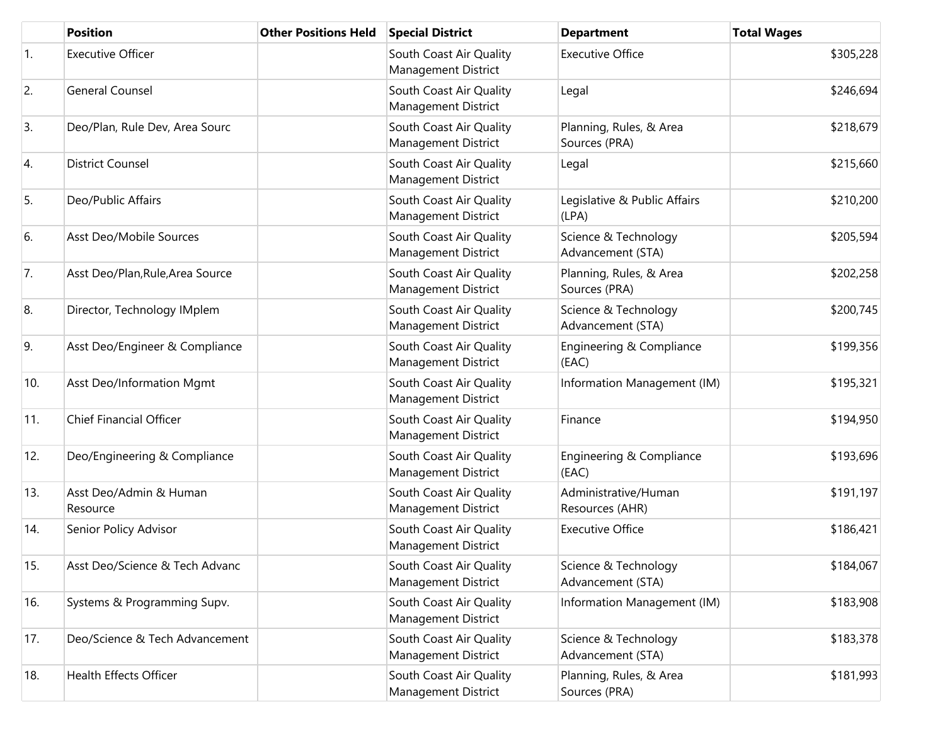|            | <b>Position</b>                    | <b>Other Positions Held</b> | <b>Special District</b>                               | <b>Department</b>                         | <b>Total Wages</b> |
|------------|------------------------------------|-----------------------------|-------------------------------------------------------|-------------------------------------------|--------------------|
| $\vert$ 1. | <b>Executive Officer</b>           |                             | South Coast Air Quality<br><b>Management District</b> | <b>Executive Office</b>                   | \$305,228          |
| 2.         | <b>General Counsel</b>             |                             | South Coast Air Quality<br>Management District        | Legal                                     | \$246,694          |
| 3.         | Deo/Plan, Rule Dev, Area Sourc     |                             | South Coast Air Quality<br><b>Management District</b> | Planning, Rules, & Area<br>Sources (PRA)  | \$218,679          |
| 4.         | <b>District Counsel</b>            |                             | South Coast Air Quality<br><b>Management District</b> | Legal                                     | \$215,660          |
| 5.         | Deo/Public Affairs                 |                             | South Coast Air Quality<br>Management District        | Legislative & Public Affairs<br>(LPA)     | \$210,200          |
| 6.         | Asst Deo/Mobile Sources            |                             | South Coast Air Quality<br>Management District        | Science & Technology<br>Advancement (STA) | \$205,594          |
| 7.         | Asst Deo/Plan, Rule, Area Source   |                             | South Coast Air Quality<br>Management District        | Planning, Rules, & Area<br>Sources (PRA)  | \$202,258          |
| 8.         | Director, Technology IMplem        |                             | South Coast Air Quality<br><b>Management District</b> | Science & Technology<br>Advancement (STA) | \$200,745          |
| 9.         | Asst Deo/Engineer & Compliance     |                             | South Coast Air Quality<br>Management District        | Engineering & Compliance<br>(EAC)         | \$199,356          |
| 10.        | Asst Deo/Information Mgmt          |                             | South Coast Air Quality<br>Management District        | Information Management (IM)               | \$195,321          |
| 11.        | <b>Chief Financial Officer</b>     |                             | South Coast Air Quality<br><b>Management District</b> | Finance                                   | \$194,950          |
| 12.        | Deo/Engineering & Compliance       |                             | South Coast Air Quality<br>Management District        | Engineering & Compliance<br>(EAC)         | \$193,696          |
| 13.        | Asst Deo/Admin & Human<br>Resource |                             | South Coast Air Quality<br>Management District        | Administrative/Human<br>Resources (AHR)   | \$191,197          |
| 14.        | Senior Policy Advisor              |                             | South Coast Air Quality<br>Management District        | <b>Executive Office</b>                   | \$186,421          |
| 15.        | Asst Deo/Science & Tech Advanc     |                             | South Coast Air Quality<br>Management District        | Science & Technology<br>Advancement (STA) | \$184,067          |
| 16.        | Systems & Programming Supv.        |                             | South Coast Air Quality<br>Management District        | Information Management (IM)               | \$183,908          |
| 17.        | Deo/Science & Tech Advancement     |                             | South Coast Air Quality<br>Management District        | Science & Technology<br>Advancement (STA) | \$183,378          |
| 18.        | <b>Health Effects Officer</b>      |                             | South Coast Air Quality<br>Management District        | Planning, Rules, & Area<br>Sources (PRA)  | \$181,993          |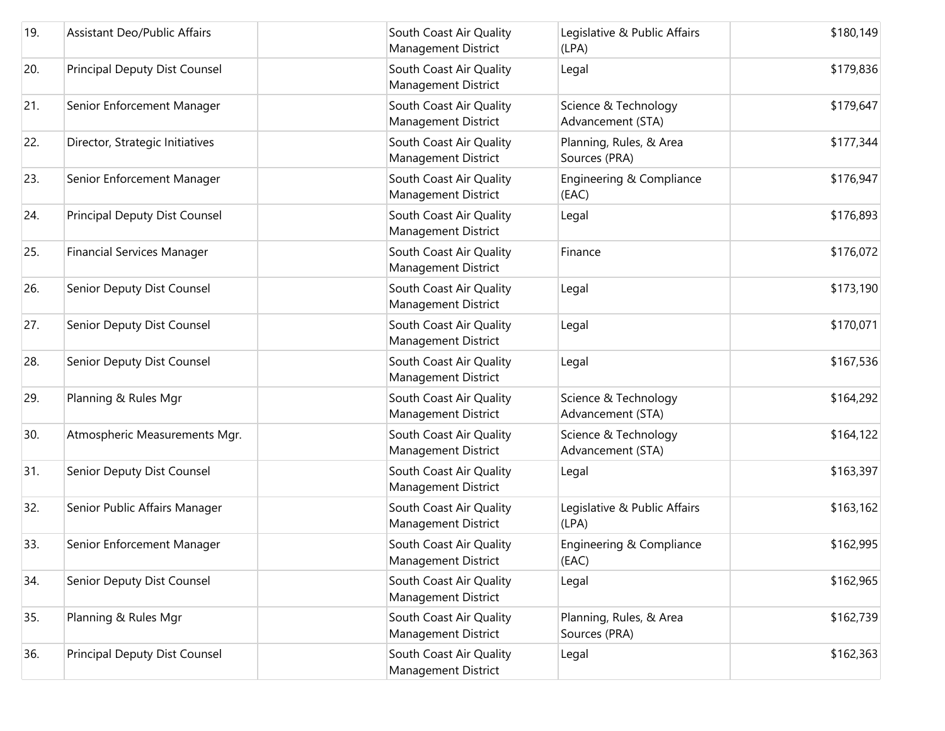| 19. | <b>Assistant Deo/Public Affairs</b>  | South Coast Air Quality<br>Management District        | Legislative & Public Affairs<br>(LPA)     | \$180,149 |
|-----|--------------------------------------|-------------------------------------------------------|-------------------------------------------|-----------|
| 20. | <b>Principal Deputy Dist Counsel</b> | South Coast Air Quality<br><b>Management District</b> | Legal                                     | \$179,836 |
| 21. | Senior Enforcement Manager           | South Coast Air Quality<br><b>Management District</b> | Science & Technology<br>Advancement (STA) | \$179,647 |
| 22. | Director, Strategic Initiatives      | South Coast Air Quality<br><b>Management District</b> | Planning, Rules, & Area<br>Sources (PRA)  | \$177,344 |
| 23. | Senior Enforcement Manager           | South Coast Air Quality<br><b>Management District</b> | Engineering & Compliance<br>(EAC)         | \$176,947 |
| 24. | <b>Principal Deputy Dist Counsel</b> | South Coast Air Quality<br><b>Management District</b> | Legal                                     | \$176,893 |
| 25. | <b>Financial Services Manager</b>    | South Coast Air Quality<br><b>Management District</b> | Finance                                   | \$176,072 |
| 26. | Senior Deputy Dist Counsel           | South Coast Air Quality<br><b>Management District</b> | Legal                                     | \$173,190 |
| 27. | Senior Deputy Dist Counsel           | South Coast Air Quality<br><b>Management District</b> | Legal                                     | \$170,071 |
| 28. | Senior Deputy Dist Counsel           | South Coast Air Quality<br>Management District        | Legal                                     | \$167,536 |
| 29. | Planning & Rules Mgr                 | South Coast Air Quality<br><b>Management District</b> | Science & Technology<br>Advancement (STA) | \$164,292 |
| 30. | Atmospheric Measurements Mgr.        | South Coast Air Quality<br><b>Management District</b> | Science & Technology<br>Advancement (STA) | \$164,122 |
| 31. | Senior Deputy Dist Counsel           | South Coast Air Quality<br><b>Management District</b> | Legal                                     | \$163,397 |
| 32. | Senior Public Affairs Manager        | South Coast Air Quality<br><b>Management District</b> | Legislative & Public Affairs<br>(LPA)     | \$163,162 |
| 33. | Senior Enforcement Manager           | South Coast Air Quality<br>Management District        | Engineering & Compliance<br>(EAC)         | \$162,995 |
| 34. | Senior Deputy Dist Counsel           | South Coast Air Quality<br><b>Management District</b> | Legal                                     | \$162,965 |
| 35. | Planning & Rules Mgr                 | South Coast Air Quality<br>Management District        | Planning, Rules, & Area<br>Sources (PRA)  | \$162,739 |
| 36. | Principal Deputy Dist Counsel        | South Coast Air Quality<br><b>Management District</b> | Legal                                     | \$162,363 |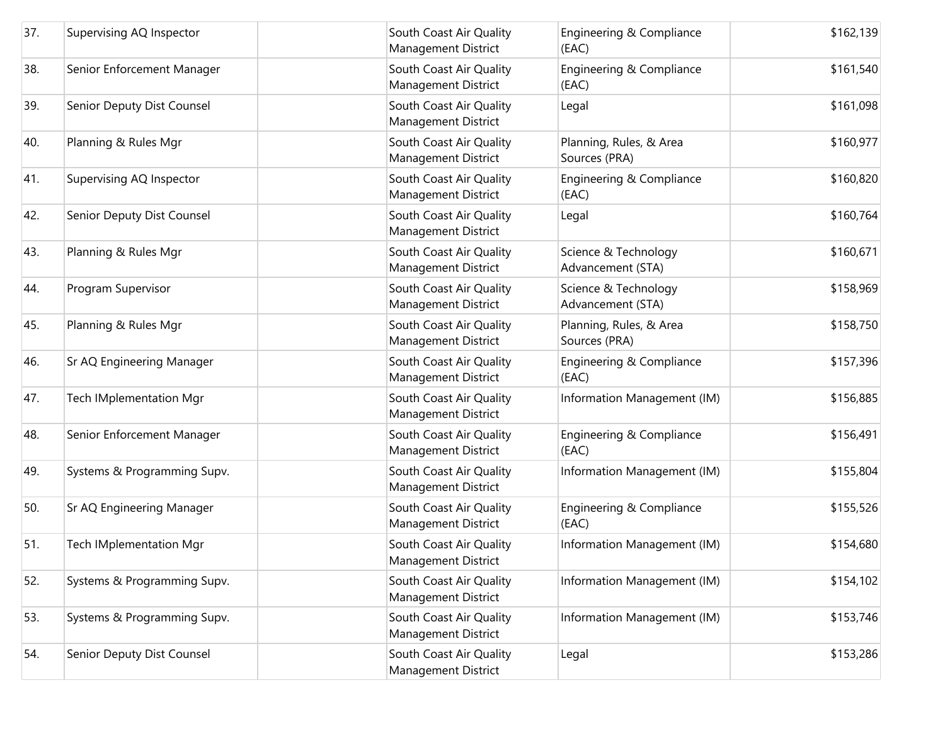| 37. | Supervising AQ Inspector       | South Coast Air Quality<br>Management District | Engineering & Compliance<br>(EAC)         | \$162,139 |
|-----|--------------------------------|------------------------------------------------|-------------------------------------------|-----------|
| 38. | Senior Enforcement Manager     | South Coast Air Quality<br>Management District | Engineering & Compliance<br>(EAC)         | \$161,540 |
| 39. | Senior Deputy Dist Counsel     | South Coast Air Quality<br>Management District | Legal                                     | \$161,098 |
| 40. | Planning & Rules Mgr           | South Coast Air Quality<br>Management District | Planning, Rules, & Area<br>Sources (PRA)  | \$160,977 |
| 41. | Supervising AQ Inspector       | South Coast Air Quality<br>Management District | Engineering & Compliance<br>(EAC)         | \$160,820 |
| 42. | Senior Deputy Dist Counsel     | South Coast Air Quality<br>Management District | Legal                                     | \$160,764 |
| 43. | Planning & Rules Mgr           | South Coast Air Quality<br>Management District | Science & Technology<br>Advancement (STA) | \$160,671 |
| 44. | Program Supervisor             | South Coast Air Quality<br>Management District | Science & Technology<br>Advancement (STA) | \$158,969 |
| 45. | Planning & Rules Mgr           | South Coast Air Quality<br>Management District | Planning, Rules, & Area<br>Sources (PRA)  | \$158,750 |
| 46. | Sr AQ Engineering Manager      | South Coast Air Quality<br>Management District | Engineering & Compliance<br>(EAC)         | \$157,396 |
| 47. | <b>Tech IMplementation Mgr</b> | South Coast Air Quality<br>Management District | Information Management (IM)               | \$156,885 |
| 48. | Senior Enforcement Manager     | South Coast Air Quality<br>Management District | Engineering & Compliance<br>(EAC)         | \$156,491 |
| 49. | Systems & Programming Supv.    | South Coast Air Quality<br>Management District | Information Management (IM)               | \$155,804 |
| 50. | Sr AQ Engineering Manager      | South Coast Air Quality<br>Management District | Engineering & Compliance<br>(EAC)         | \$155,526 |
| 51. | <b>Tech IMplementation Mgr</b> | South Coast Air Quality<br>Management District | Information Management (IM)               | \$154,680 |
| 52. | Systems & Programming Supv.    | South Coast Air Quality<br>Management District | Information Management (IM)               | \$154,102 |
| 53. | Systems & Programming Supv.    | South Coast Air Quality<br>Management District | Information Management (IM)               | \$153,746 |
| 54. | Senior Deputy Dist Counsel     | South Coast Air Quality<br>Management District | Legal                                     | \$153,286 |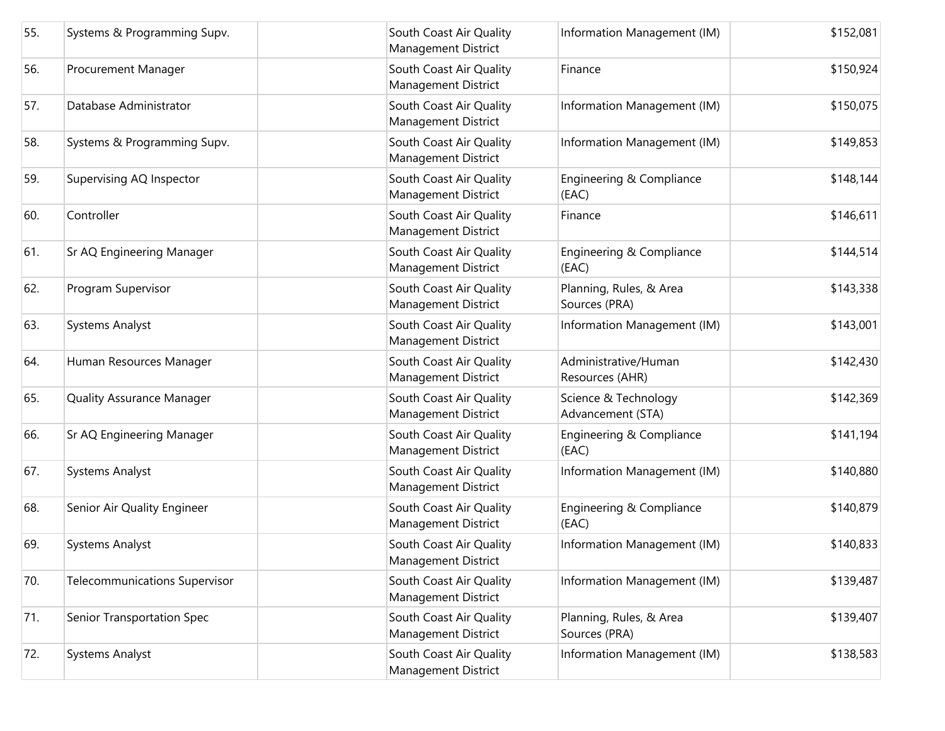| 55. | Systems & Programming Supv.          | South Coast Air Quality<br>Management District        | Information Management (IM)               | \$152,081 |
|-----|--------------------------------------|-------------------------------------------------------|-------------------------------------------|-----------|
| 56. | Procurement Manager                  | South Coast Air Quality<br><b>Management District</b> | Finance                                   | \$150,924 |
| 57. | Database Administrator               | South Coast Air Quality<br><b>Management District</b> | Information Management (IM)               | \$150,075 |
| 58. | Systems & Programming Supv.          | South Coast Air Quality<br><b>Management District</b> | Information Management (IM)               | \$149,853 |
| 59. | Supervising AQ Inspector             | South Coast Air Quality<br><b>Management District</b> | Engineering & Compliance<br>(EAC)         | \$148,144 |
| 60. | Controller                           | South Coast Air Quality<br>Management District        | Finance                                   | \$146,611 |
| 61. | Sr AQ Engineering Manager            | South Coast Air Quality<br><b>Management District</b> | Engineering & Compliance<br>(EAC)         | \$144,514 |
| 62. | Program Supervisor                   | South Coast Air Quality<br><b>Management District</b> | Planning, Rules, & Area<br>Sources (PRA)  | \$143,338 |
| 63. | <b>Systems Analyst</b>               | South Coast Air Quality<br><b>Management District</b> | Information Management (IM)               | \$143,001 |
| 64. | Human Resources Manager              | South Coast Air Quality<br>Management District        | Administrative/Human<br>Resources (AHR)   | \$142,430 |
| 65. | <b>Quality Assurance Manager</b>     | South Coast Air Quality<br>Management District        | Science & Technology<br>Advancement (STA) | \$142,369 |
| 66. | Sr AQ Engineering Manager            | South Coast Air Quality<br><b>Management District</b> | Engineering & Compliance<br>(EAC)         | \$141,194 |
| 67. | <b>Systems Analyst</b>               | South Coast Air Quality<br><b>Management District</b> | Information Management (IM)               | \$140,880 |
| 68. | Senior Air Quality Engineer          | South Coast Air Quality<br><b>Management District</b> | Engineering & Compliance<br>(EAC)         | \$140,879 |
| 69. | <b>Systems Analyst</b>               | South Coast Air Quality<br><b>Management District</b> | Information Management (IM)               | \$140,833 |
| 70. | <b>Telecommunications Supervisor</b> | South Coast Air Quality<br><b>Management District</b> | Information Management (IM)               | \$139,487 |
| 71. | Senior Transportation Spec           | South Coast Air Quality<br><b>Management District</b> | Planning, Rules, & Area<br>Sources (PRA)  | \$139,407 |
| 72. | <b>Systems Analyst</b>               | South Coast Air Quality<br>Management District        | Information Management (IM)               | \$138,583 |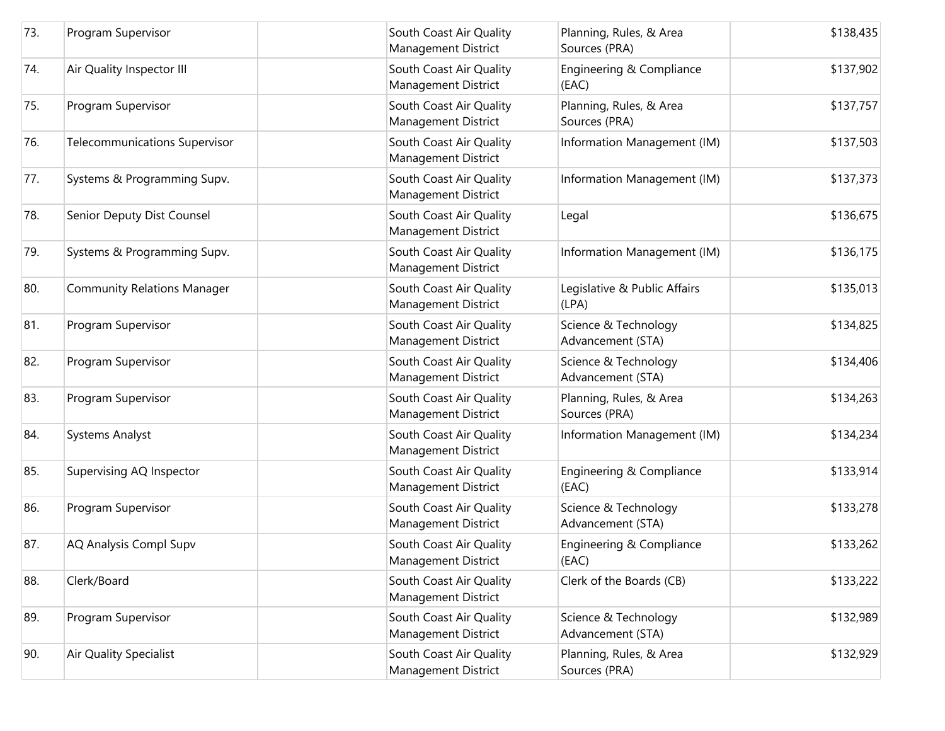| 73. | Program Supervisor                   | South Coast Air Quality<br>Management District        | Planning, Rules, & Area<br>Sources (PRA)  | \$138,435 |
|-----|--------------------------------------|-------------------------------------------------------|-------------------------------------------|-----------|
| 74. | Air Quality Inspector III            | South Coast Air Quality<br>Management District        | Engineering & Compliance<br>(EAC)         | \$137,902 |
| 75. | Program Supervisor                   | South Coast Air Quality<br>Management District        | Planning, Rules, & Area<br>Sources (PRA)  | \$137,757 |
| 76. | <b>Telecommunications Supervisor</b> | South Coast Air Quality<br>Management District        | Information Management (IM)               | \$137,503 |
| 77. | Systems & Programming Supv.          | South Coast Air Quality<br>Management District        | Information Management (IM)               | \$137,373 |
| 78. | Senior Deputy Dist Counsel           | South Coast Air Quality<br>Management District        | Legal                                     | \$136,675 |
| 79. | Systems & Programming Supv.          | South Coast Air Quality<br>Management District        | Information Management (IM)               | \$136,175 |
| 80. | <b>Community Relations Manager</b>   | South Coast Air Quality<br>Management District        | Legislative & Public Affairs<br>(LPA)     | \$135,013 |
| 81. | Program Supervisor                   | South Coast Air Quality<br>Management District        | Science & Technology<br>Advancement (STA) | \$134,825 |
| 82. | Program Supervisor                   | South Coast Air Quality<br>Management District        | Science & Technology<br>Advancement (STA) | \$134,406 |
| 83. | Program Supervisor                   | South Coast Air Quality<br>Management District        | Planning, Rules, & Area<br>Sources (PRA)  | \$134,263 |
| 84. | <b>Systems Analyst</b>               | South Coast Air Quality<br>Management District        | Information Management (IM)               | \$134,234 |
| 85. | Supervising AQ Inspector             | South Coast Air Quality<br>Management District        | Engineering & Compliance<br>(EAC)         | \$133,914 |
| 86. | Program Supervisor                   | South Coast Air Quality<br>Management District        | Science & Technology<br>Advancement (STA) | \$133,278 |
| 87. | AQ Analysis Compl Supv               | South Coast Air Quality<br><b>Management District</b> | Engineering & Compliance<br>(EAC)         | \$133,262 |
| 88. | Clerk/Board                          | South Coast Air Quality<br>Management District        | Clerk of the Boards (CB)                  | \$133,222 |
| 89. | Program Supervisor                   | South Coast Air Quality<br>Management District        | Science & Technology<br>Advancement (STA) | \$132,989 |
| 90. | Air Quality Specialist               | South Coast Air Quality<br>Management District        | Planning, Rules, & Area<br>Sources (PRA)  | \$132,929 |